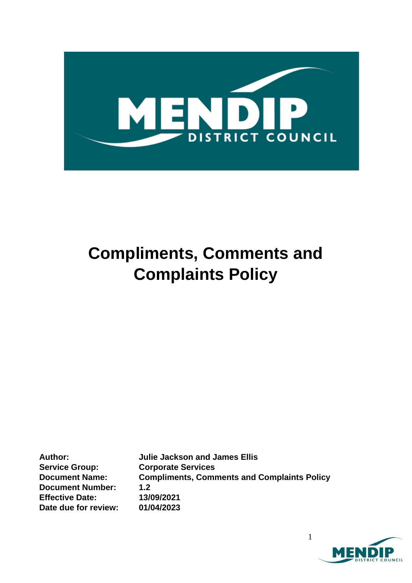

# **Compliments, Comments and Complaints Policy**

**Service Group: Corporate Services Document Number: 1.2 Effective Date: 13/09/2021 Date due for review: 01/04/2023**

**Author: Julie Jackson and James Ellis Document Name: Compliments, Comments and Complaints Policy**

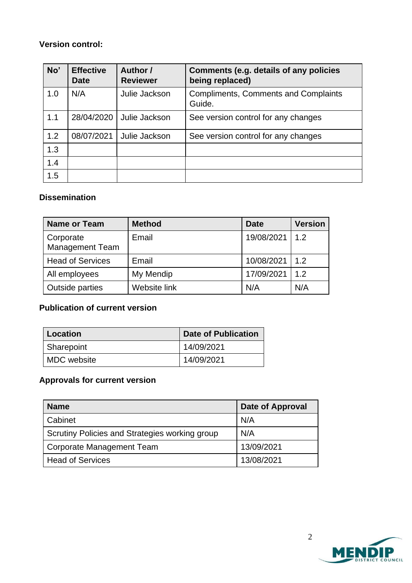### **Version control:**

| No' | <b>Effective</b><br><b>Date</b> | Author /<br><b>Reviewer</b> | Comments (e.g. details of any policies<br>being replaced) |
|-----|---------------------------------|-----------------------------|-----------------------------------------------------------|
| 1.0 | N/A                             | Julie Jackson               | <b>Compliments, Comments and Complaints</b><br>Guide.     |
| 1.1 | 28/04/2020                      | Julie Jackson               | See version control for any changes                       |
| 1.2 | 08/07/2021                      | Julie Jackson               | See version control for any changes                       |
| 1.3 |                                 |                             |                                                           |
| 1.4 |                                 |                             |                                                           |
| 1.5 |                                 |                             |                                                           |

### **Dissemination**

| <b>Name or Team</b>                 | <b>Method</b> | <b>Date</b>      | <b>Version</b> |
|-------------------------------------|---------------|------------------|----------------|
| Corporate<br><b>Management Team</b> | Email         | 19/08/2021   1.2 |                |
| <b>Head of Services</b>             | Email         | 10/08/2021   1.2 |                |
| All employees                       | My Mendip     | 17/09/2021   1.2 |                |
| Outside parties                     | Website link  | N/A              | N/A            |

## **Publication of current version**

| Location           | <b>Date of Publication</b> |  |
|--------------------|----------------------------|--|
| Sharepoint         | 14/09/2021                 |  |
| <b>MDC</b> website | 14/09/2021                 |  |

# **Approvals for current version**

| <b>Name</b>                                    | <b>Date of Approval</b> |
|------------------------------------------------|-------------------------|
| Cabinet                                        | N/A                     |
| Scrutiny Policies and Strategies working group | N/A                     |
| Corporate Management Team                      | 13/09/2021              |
| <b>Head of Services</b>                        | 13/08/2021              |

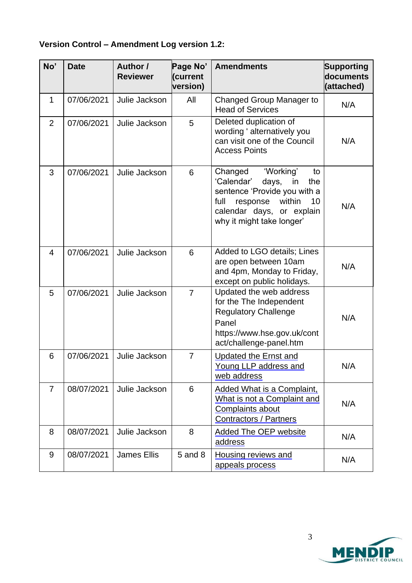# **Version Control – Amendment Log version 1.2:**

| No'            | <b>Date</b> | Author /<br><b>Reviewer</b> | Page No'<br>(current<br>version) | <b>Amendments</b>                                                                                                                                                                            | <b>Supporting</b><br>documents<br>(attached) |
|----------------|-------------|-----------------------------|----------------------------------|----------------------------------------------------------------------------------------------------------------------------------------------------------------------------------------------|----------------------------------------------|
| 1              | 07/06/2021  | Julie Jackson               | All                              | <b>Changed Group Manager to</b><br><b>Head of Services</b>                                                                                                                                   | N/A                                          |
| $\overline{2}$ | 07/06/2021  | Julie Jackson               | 5                                | Deleted duplication of<br>wording ' alternatively you<br>can visit one of the Council<br><b>Access Points</b>                                                                                | N/A                                          |
| 3              | 07/06/2021  | Julie Jackson               | 6                                | 'Working'<br>Changed<br>to<br>'Calendar'<br>days,<br>in<br>the<br>sentence 'Provide you with a<br>within<br>full<br>response<br>10<br>calendar days, or explain<br>why it might take longer' | N/A                                          |
| $\overline{4}$ | 07/06/2021  | Julie Jackson               | 6                                | Added to LGO details; Lines<br>are open between 10am<br>and 4pm, Monday to Friday,<br>except on public holidays.                                                                             | N/A                                          |
| 5              | 07/06/2021  | Julie Jackson               | $\overline{7}$                   | Updated the web address<br>for the The Independent<br><b>Regulatory Challenge</b><br>Panel<br>https://www.hse.gov.uk/cont<br>act/challenge-panel.htm                                         | N/A                                          |
| 6              | 07/06/2021  | Julie Jackson               | $\overline{7}$                   | <b>Updated the Ernst and</b><br>Young LLP address and<br>web address                                                                                                                         | N/A                                          |
| $\overline{7}$ | 08/07/2021  | Julie Jackson               | 6                                | Added What is a Complaint,<br>What is not a Complaint and<br>Complaints about<br><b>Contractors / Partners</b>                                                                               | N/A                                          |
| 8              | 08/07/2021  | Julie Jackson               | 8                                | <b>Added The OEP website</b><br>address                                                                                                                                                      | N/A                                          |
| 9              | 08/07/2021  | <b>James Ellis</b>          | 5 and 8                          | <b>Housing reviews and</b><br>appeals process                                                                                                                                                | N/A                                          |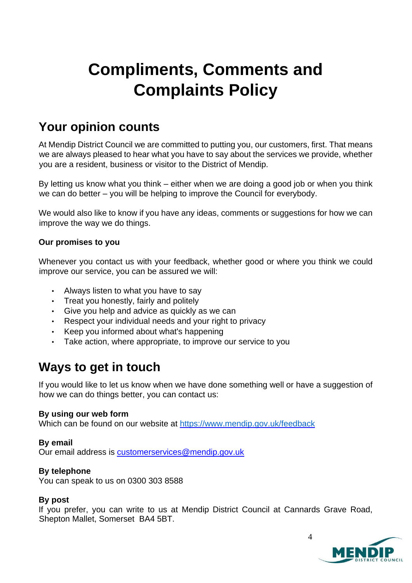# **Compliments, Comments and Complaints Policy**

# **Your opinion counts**

At Mendip District Council we are committed to putting you, our customers, first. That means we are always pleased to hear what you have to say about the services we provide, whether you are a resident, business or visitor to the District of Mendip.

By letting us know what you think – either when we are doing a good job or when you think we can do better – you will be helping to improve the Council for everybody.

We would also like to know if you have any ideas, comments or suggestions for how we can improve the way we do things.

#### **Our promises to you**

Whenever you contact us with your feedback, whether good or where you think we could improve our service, you can be assured we will:

- Always listen to what you have to say
- Treat you honestly, fairly and politely
- Give you help and advice as quickly as we can
- Respect your individual needs and your right to privacy
- Keep you informed about what's happening
- Take action, where appropriate, to improve our service to you

# **Ways to get in touch**

If you would like to let us know when we have done something well or have a suggestion of how we can do things better, you can contact us:

#### **By using our web form**

Which can be found on our website at<https://www.mendip.gov.uk/feedback>

#### **By email**

Our email address is customerservices@mendip.gov.uk

#### **By telephone**

You can speak to us on 0300 303 8588

#### **By post**

If you prefer, you can write to us at Mendip District Council at Cannards Grave Road, Shepton Mallet, Somerset BA4 5BT.

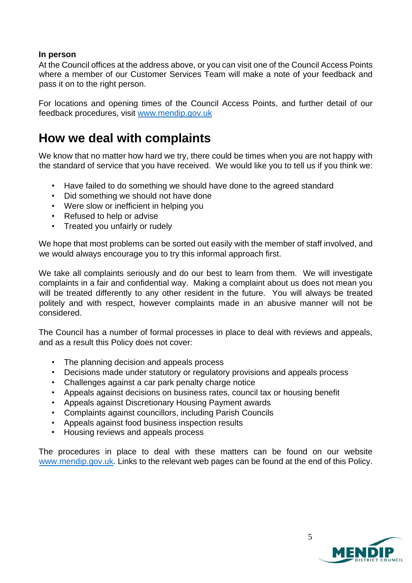#### **In person**

At the Council offices at the address above, or you can visit one of the Council Access Points where a member of our Customer Services Team will make a note of your feedback and pass it on to the right person.

For locations and opening times of the Council Access Points, and further detail of our feedback procedures, visit [www.mendip.gov.uk](http://www.mendip.gov.uk/)

# **How we deal with complaints**

We know that no matter how hard we try, there could be times when you are not happy with the standard of service that you have received. We would like you to tell us if you think we:

- Have failed to do something we should have done to the agreed standard
- Did something we should not have done
- Were slow or inefficient in helping you
- Refused to help or advise
- Treated you unfairly or rudely

We hope that most problems can be sorted out easily with the member of staff involved, and we would always encourage you to try this informal approach first.

We take all complaints seriously and do our best to learn from them. We will investigate complaints in a fair and confidential way. Making a complaint about us does not mean you will be treated differently to any other resident in the future. You will always be treated politely and with respect, however complaints made in an abusive manner will not be considered.

The Council has a number of formal processes in place to deal with reviews and appeals, and as a result this Policy does not cover:

- The planning decision and appeals process
- Decisions made under statutory or regulatory provisions and appeals process
- Challenges against a car park penalty charge notice
- Appeals against decisions on business rates, council tax or housing benefit
- Appeals against Discretionary Housing Payment awards
- Complaints against councillors, including Parish Councils
- Appeals against food business inspection results
- Housing reviews and appeals process

The procedures in place to deal with these matters can be found on our website [www.mendip.gov.uk.](http://www.mendip.gov.uk/) Links to the relevant web pages can be found at the end of this Policy.



5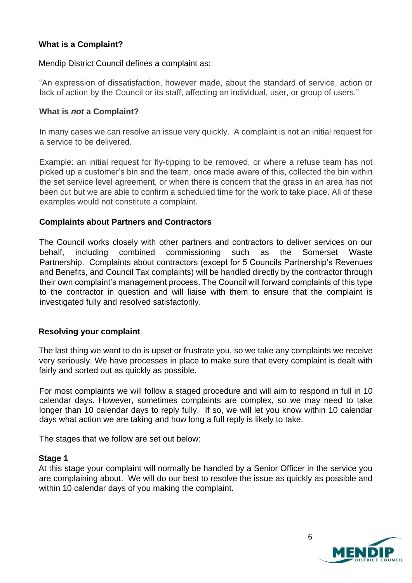#### **What is a Complaint?**

Mendip District Council defines a complaint as:

"An expression of dissatisfaction, however made, about the standard of service, action or lack of action by the Council or its staff, affecting an individual, user, or group of users."

#### **What is** *not* **a Complaint?**

In many cases we can resolve an issue very quickly. A complaint is not an initial request for a service to be delivered.

Example: an initial request for fly-tipping to be removed, or where a refuse team has not picked up a customer's bin and the team, once made aware of this, collected the bin within the set service level agreement, or when there is concern that the grass in an area has not been cut but we are able to confirm a scheduled time for the work to take place. All of these examples would not constitute a complaint.

#### **Complaints about Partners and Contractors**

The Council works closely with other partners and contractors to deliver services on our behalf, including combined commissioning such as the Somerset Waste Partnership. Complaints about contractors (except for 5 Councils Partnership's Revenues and Benefits, and Council Tax complaints) will be handled directly by the contractor through their own complaint's management process. The Council will forward complaints of this type to the contractor in question and will liaise with them to ensure that the complaint is investigated fully and resolved satisfactorily.

#### **Resolving your complaint**

The last thing we want to do is upset or frustrate you, so we take any complaints we receive very seriously. We have processes in place to make sure that every complaint is dealt with fairly and sorted out as quickly as possible.

For most complaints we will follow a staged procedure and will aim to respond in full in 10 calendar days. However, sometimes complaints are complex, so we may need to take longer than 10 calendar days to reply fully. If so, we will let you know within 10 calendar days what action we are taking and how long a full reply is likely to take.

The stages that we follow are set out below:

#### **Stage 1**

At this stage your complaint will normally be handled by a Senior Officer in the service you are complaining about. We will do our best to resolve the issue as quickly as possible and within 10 calendar days of you making the complaint.



6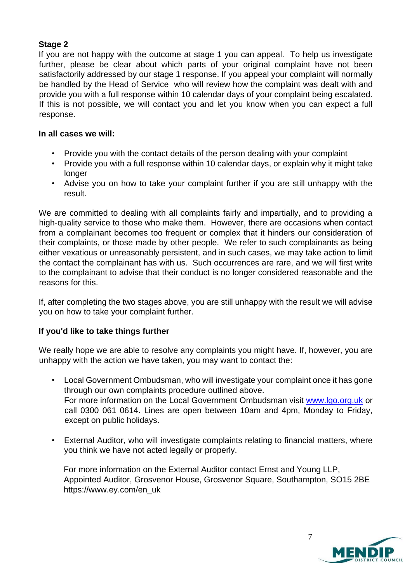#### **Stage 2**

If you are not happy with the outcome at stage 1 you can appeal. To help us investigate further, please be clear about which parts of your original complaint have not been satisfactorily addressed by our stage 1 response. If you appeal your complaint will normally be handled by the Head of Service who will review how the complaint was dealt with and provide you with a full response within 10 calendar days of your complaint being escalated. If this is not possible, we will contact you and let you know when you can expect a full response.

#### **In all cases we will:**

- Provide you with the contact details of the person dealing with your complaint
- Provide you with a full response within 10 calendar days, or explain why it might take longer
- Advise you on how to take your complaint further if you are still unhappy with the result.

We are committed to dealing with all complaints fairly and impartially, and to providing a high-quality service to those who make them. However, there are occasions when contact from a complainant becomes too frequent or complex that it hinders our consideration of their complaints, or those made by other people. We refer to such complainants as being either vexatious or unreasonably persistent, and in such cases, we may take action to limit the contact the complainant has with us. Such occurrences are rare, and we will first write to the complainant to advise that their conduct is no longer considered reasonable and the reasons for this.

If, after completing the two stages above, you are still unhappy with the result we will advise you on how to take your complaint further.

#### **If you'd like to take things further**

We really hope we are able to resolve any complaints you might have. If, however, you are unhappy with the action we have taken, you may want to contact the:

- Local Government Ombudsman, who will investigate your complaint once it has gone through our own complaints procedure outlined above. For more information on the Local Government Ombudsman visit [www.lgo.org.uk](http://www.lgo.org.uk/) or call 0300 061 0614. Lines are open between 10am and 4pm, Monday to Friday, except on public holidays.
- External Auditor, who will investigate complaints relating to financial matters, where you think we have not acted legally or properly.

For more information on the External Auditor contact Ernst and Young LLP, Appointed Auditor, Grosvenor House, Grosvenor Square, Southampton, SO15 2BE https://www.ey.com/en\_uk